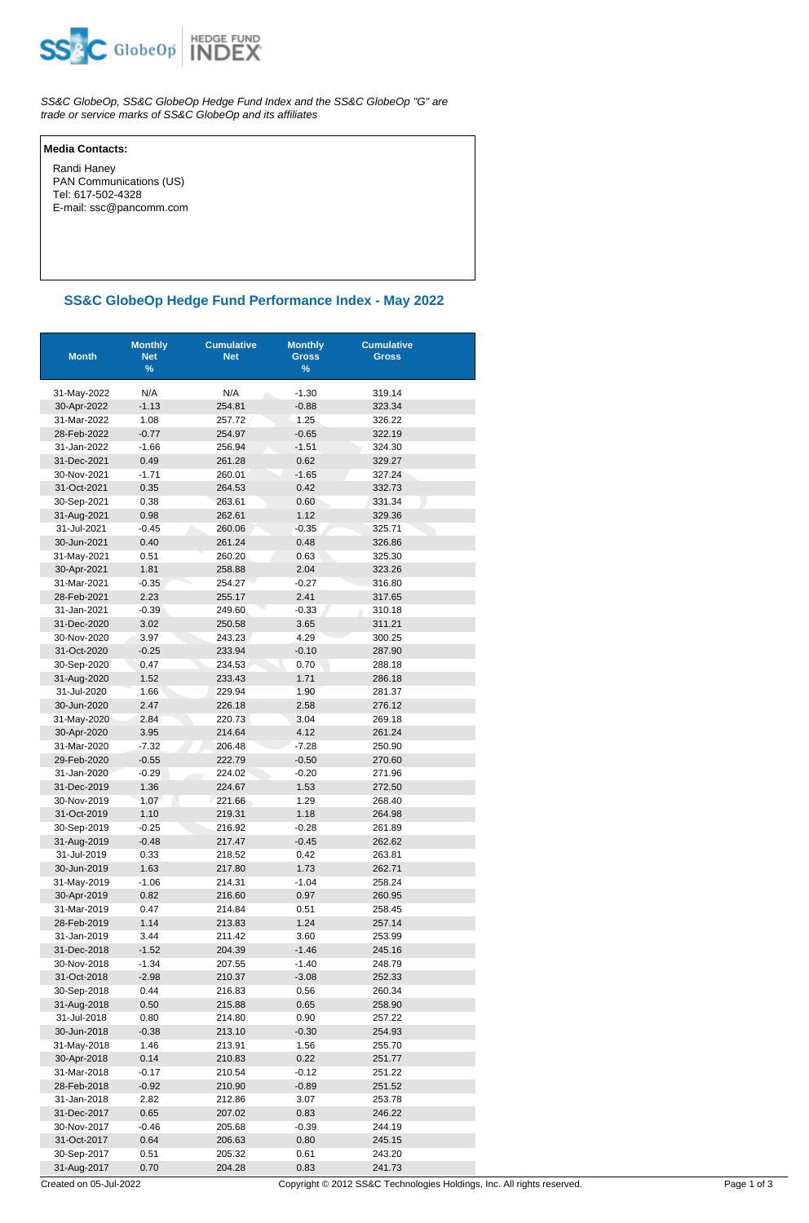

SS&C GlobeOp, SS&C GlobeOp Hedge Fund Index and the SS&C GlobeOp "G" are trade or service marks of SS&C GlobeOp and its affiliates

## **Media Contacts:**

 Randi Haney PAN Communications (US) Tel: 617-502-4328 E-mail: ssc@pancomm.com

## **SS&C GlobeOp Hedge Fund Performance Index - May 2022**

| <b>Month</b>               | <b>Monthly</b><br><b>Net</b><br>% | <b>Cumulative</b><br><b>Net</b> | <b>Monthly</b><br><b>Gross</b><br>$\%$ | <b>Cumulative</b><br><b>Gross</b> |
|----------------------------|-----------------------------------|---------------------------------|----------------------------------------|-----------------------------------|
| 31-May-2022                | N/A                               | N/A                             | $-1.30$                                | 319.14                            |
| 30-Apr-2022                | $-1.13$                           | 254.81                          | $-0.88$                                | 323.34                            |
| 31-Mar-2022                | 1.08                              | 257.72                          | 1.25                                   | 326.22                            |
| 28-Feb-2022                | $-0.77$                           | 254.97                          | $-0.65$                                | 322.19                            |
| 31-Jan-2022                | $-1.66$                           | 256.94                          | $-1.51$                                | 324.30                            |
| 31-Dec-2021                | 0.49                              | 261.28                          | 0.62                                   | 329.27                            |
| 30-Nov-2021                | $-1.71$                           | 260.01                          | $-1.65$                                | 327.24                            |
| 31-Oct-2021                | 0.35                              | 264.53                          | 0.42                                   | 332.73                            |
| 30-Sep-2021                | 0.38                              | 263.61                          | 0.60                                   | 331.34                            |
| 31-Aug-2021                | 0.98                              | 262.61                          | 1.12                                   | 329.36                            |
| 31-Jul-2021                | $-0.45$                           | 260.06                          | $-0.35$                                | 325.71                            |
| 30-Jun-2021                | 0.40                              | 261.24                          | 0.48                                   | 326.86                            |
| 31-May-2021                | 0.51                              | 260.20                          | 0.63                                   | 325.30                            |
| 30-Apr-2021                | 1.81                              | 258.88                          | 2.04                                   | 323.26                            |
| 31-Mar-2021                | $-0.35$                           | 254.27                          | $-0.27$                                | 316.80                            |
| 28-Feb-2021                | 2.23                              | 255.17                          | 2.41                                   | 317.65                            |
| 31-Jan-2021                | $-0.39$                           | 249.60                          | $-0.33$                                | 310.18                            |
| 31-Dec-2020                | 3.02                              | 250.58                          | 3.65                                   | 311.21                            |
| 30-Nov-2020                | 3.97                              | 243.23                          | 4.29                                   | 300.25                            |
| 31-Oct-2020                | $-0.25$                           | 233.94                          | $-0.10$                                | 287.90                            |
| 30-Sep-2020                | 0.47                              | 234.53                          | 0.70                                   | 288.18                            |
| 31-Aug-2020                | 1.52                              | 233.43                          | 1.71                                   | 286.18                            |
| 31-Jul-2020                | 1.66                              | 229.94                          | 1.90                                   | 281.37                            |
| 30-Jun-2020                | 2.47                              | 226.18                          | 2.58                                   | 276.12                            |
| 31-May-2020                | 2.84                              | 220.73                          | 3.04                                   | 269.18                            |
| 30-Apr-2020                | 3.95                              | 214.64                          | 4.12                                   | 261.24                            |
| 31-Mar-2020                | $-7.32$                           | 206.48                          | $-7.28$                                | 250.90                            |
| 29-Feb-2020                | $-0.55$                           | 222.79                          | $-0.50$                                | 270.60                            |
| 31-Jan-2020                | $-0.29$                           | 224.02                          | $-0.20$                                | 271.96                            |
| 31-Dec-2019                | 1.36                              | 224.67                          | 1.53                                   | 272.50                            |
| 30-Nov-2019                | 1.07                              | 221.66                          | 1.29                                   | 268.40                            |
| 31-Oct-2019                | 1.10                              | 219.31                          | 1.18                                   | 264.98                            |
| 30-Sep-2019                | $-0.25$                           | 216.92                          | $-0.28$                                | 261.89                            |
| 31-Aug-2019                | $-0.48$                           | 217.47                          | $-0.45$                                | 262.62                            |
| 31-Jul-2019<br>30-Jun-2019 | 0.33<br>1.63                      | 218.52<br>217.80                | 0.42                                   | 263.81                            |
|                            |                                   |                                 | 1.73                                   | 262.71<br>258.24                  |
| 31-May-2019                | $-1.06$<br>0.82                   | 214.31<br>216.60                | $-1.04$<br>0.97                        | 260.95                            |
| 30-Apr-2019<br>31-Mar-2019 | 0.47                              | 214.84                          | 0.51                                   | 258.45                            |
| 28-Feb-2019                | 1.14                              | 213.83                          | 1.24                                   | 257.14                            |
| 31-Jan-2019                | 3.44                              | 211.42                          | 3.60                                   | 253.99                            |
| 31-Dec-2018                | $-1.52$                           | 204.39                          | $-1.46$                                | 245.16                            |
| 30-Nov-2018                | $-1.34$                           | 207.55                          | $-1.40$                                | 248.79                            |
| 31-Oct-2018                | $-2.98$                           | 210.37                          | $-3.08$                                | 252.33                            |
| 30-Sep-2018                | 0.44                              | 216.83                          | 0.56                                   | 260.34                            |
| 31-Aug-2018                | 0.50                              | 215.88                          | 0.65                                   | 258.90                            |
| 31-Jul-2018                | 0.80                              | 214.80                          | 0.90                                   | 257.22                            |
| 30-Jun-2018                | $-0.38$                           | 213.10                          | $-0.30$                                | 254.93                            |
| 31-May-2018                | 1.46                              | 213.91                          | 1.56                                   | 255.70                            |
| 30-Apr-2018                | 0.14                              | 210.83                          | 0.22                                   | 251.77                            |
| 31-Mar-2018                | $-0.17$                           | 210.54                          | $-0.12$                                | 251.22                            |
| 28-Feb-2018                | $-0.92$                           | 210.90                          | $-0.89$                                | 251.52                            |
| 31-Jan-2018                | 2.82                              | 212.86                          | 3.07                                   | 253.78                            |
| 31-Dec-2017                | 0.65                              | 207.02                          | 0.83                                   | 246.22                            |
| 30-Nov-2017                | $-0.46$                           | 205.68                          | $-0.39$                                | 244.19                            |
| 31-Oct-2017                | 0.64                              | 206.63                          | 0.80                                   | 245.15                            |
| 30-Sep-2017                | 0.51                              | 205.32                          | 0.61                                   | 243.20                            |
| 31-Aug-2017                | 0.70                              | 204.28                          | 0.83                                   | 241.73                            |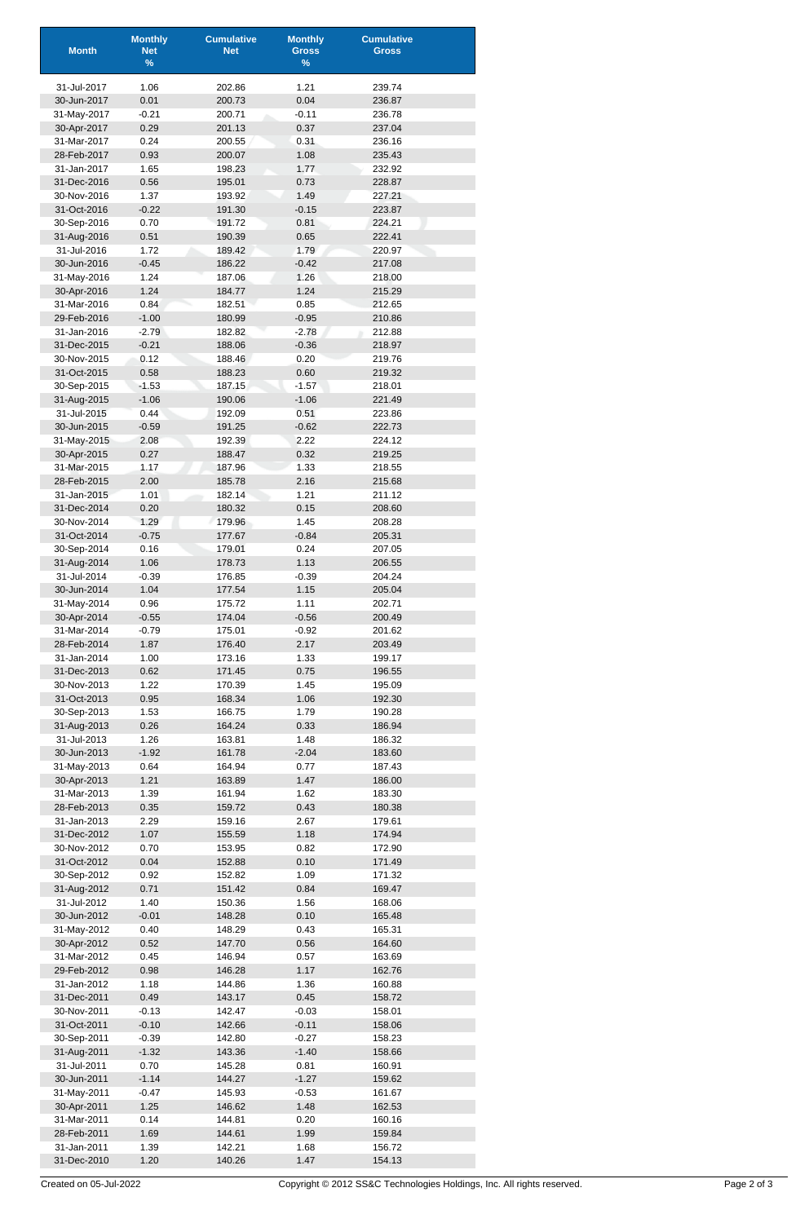| <b>Month</b>               | <b>Monthly</b><br><b>Net</b> | <b>Cumulative</b><br><b>Net</b> | <b>Monthly</b><br><b>Gross</b> | <b>Cumulative</b><br><b>Gross</b> |
|----------------------------|------------------------------|---------------------------------|--------------------------------|-----------------------------------|
|                            | $\%$                         |                                 | $\%$                           |                                   |
| 31-Jul-2017                | 1.06                         | 202.86                          | 1.21                           | 239.74                            |
| 30-Jun-2017                | 0.01                         | 200.73                          | 0.04                           | 236.87                            |
| 31-May-2017                | $-0.21$                      | 200.71                          | $-0.11$                        | 236.78                            |
| 30-Apr-2017                | 0.29                         | 201.13                          | 0.37                           | 237.04                            |
| 31-Mar-2017                | 0.24                         | 200.55                          | 0.31                           | 236.16                            |
| 28-Feb-2017<br>31-Jan-2017 | 0.93<br>1.65                 | 200.07<br>198.23                | 1.08<br>1.77                   | 235.43<br>232.92                  |
| 31-Dec-2016                | 0.56                         | 195.01                          | 0.73                           | 228.87                            |
| 30-Nov-2016                | 1.37                         | 193.92                          | 1.49                           | 227.21                            |
| 31-Oct-2016                | $-0.22$                      | 191.30                          | $-0.15$                        | 223.87                            |
| 30-Sep-2016                | 0.70                         | 191.72                          | 0.81                           | 224.21                            |
| 31-Aug-2016                | 0.51                         | 190.39                          | 0.65                           | 222.41                            |
| 31-Jul-2016                | 1.72                         | 189.42                          | 1.79                           | 220.97                            |
| 30-Jun-2016<br>31-May-2016 | $-0.45$<br>1.24              | 186.22<br>187.06                | $-0.42$<br>1.26                | 217.08<br>218.00                  |
| 30-Apr-2016                | 1.24                         | 184.77                          | 1.24                           | 215.29                            |
| 31-Mar-2016                | 0.84                         | 182.51                          | 0.85                           | 212.65                            |
| 29-Feb-2016                | $-1.00$                      | 180.99                          | $-0.95$                        | 210.86                            |
| 31-Jan-2016                | $-2.79$                      | 182.82                          | $-2.78$                        | 212.88                            |
| 31-Dec-2015                | $-0.21$                      | 188.06                          | $-0.36$                        | 218.97                            |
| 30-Nov-2015<br>31-Oct-2015 | 0.12<br>0.58                 | 188.46<br>188.23                | 0.20<br>0.60                   | 219.76<br>219.32                  |
| 30-Sep-2015                | $-1.53$                      | 187.15                          | $-1.57$                        | 218.01                            |
| 31-Aug-2015                | $-1.06$                      | 190.06                          | $-1.06$                        | 221.49                            |
| 31-Jul-2015                | 0.44                         | 192.09                          | 0.51                           | 223.86                            |
| 30-Jun-2015                | $-0.59$                      | 191.25                          | $-0.62$                        | 222.73                            |
| 31-May-2015                | 2.08                         | 192.39                          | 2.22                           | 224.12                            |
| 30-Apr-2015                | 0.27                         | 188.47                          | 0.32                           | 219.25                            |
| 31-Mar-2015<br>28-Feb-2015 | 1.17<br>2.00                 | 187.96<br>185.78                | 1.33<br>2.16                   | 218.55<br>215.68                  |
| 31-Jan-2015                | 1.01                         | 182.14                          | 1.21                           | 211.12                            |
| 31-Dec-2014                | 0.20                         | 180.32                          | 0.15                           | 208.60                            |
| 30-Nov-2014                | 1.29                         | 179.96                          | 1.45                           | 208.28                            |
| 31-Oct-2014                | $-0.75$                      | 177.67                          | $-0.84$                        | 205.31                            |
| 30-Sep-2014                | 0.16                         | 179.01                          | 0.24                           | 207.05                            |
| 31-Aug-2014                | 1.06                         | 178.73                          | 1.13                           | 206.55                            |
| 31-Jul-2014<br>30-Jun-2014 | $-0.39$<br>1.04              | 176.85<br>177.54                | $-0.39$<br>1.15                | 204.24<br>205.04                  |
| 31-May-2014                | 0.96                         | 175.72                          | 1.11                           | 202.71                            |
| 30-Apr-2014                | $-0.55$                      | 174.04                          | $-0.56$                        | 200.49                            |
| 31-Mar-2014                | $-0.79$                      | 175.01                          | $-0.92$                        | 201.62                            |
| 28-Feb-2014                | 1.87                         | 176.40                          | 2.17                           | 203.49                            |
| 31-Jan-2014                | 1.00                         | 173.16                          | 1.33                           | 199.17                            |
| 31-Dec-2013<br>30-Nov-2013 | 0.62                         | 171.45                          | 0.75<br>1.45                   | 196.55                            |
| 31-Oct-2013                | 1.22<br>0.95                 | 170.39<br>168.34                | 1.06                           | 195.09<br>192.30                  |
| 30-Sep-2013                | 1.53                         | 166.75                          | 1.79                           | 190.28                            |
| 31-Aug-2013                | 0.26                         | 164.24                          | 0.33                           | 186.94                            |
| 31-Jul-2013                | 1.26                         | 163.81                          | 1.48                           | 186.32                            |
| 30-Jun-2013                | $-1.92$                      | 161.78                          | $-2.04$                        | 183.60                            |
| 31-May-2013                | 0.64                         | 164.94                          | 0.77                           | 187.43                            |
| 30-Apr-2013<br>31-Mar-2013 | 1.21<br>1.39                 | 163.89<br>161.94                | 1.47                           | 186.00<br>183.30                  |
| 28-Feb-2013                | 0.35                         | 159.72                          | 1.62<br>0.43                   | 180.38                            |
| 31-Jan-2013                | 2.29                         | 159.16                          | 2.67                           | 179.61                            |
| 31-Dec-2012                | 1.07                         | 155.59                          | 1.18                           | 174.94                            |
| 30-Nov-2012                | 0.70                         | 153.95                          | 0.82                           | 172.90                            |
| 31-Oct-2012                | 0.04                         | 152.88                          | 0.10                           | 171.49                            |
| 30-Sep-2012                | 0.92                         | 152.82                          | 1.09                           | 171.32                            |
| 31-Aug-2012<br>31-Jul-2012 | 0.71<br>1.40                 | 151.42<br>150.36                | 0.84<br>1.56                   | 169.47<br>168.06                  |
| 30-Jun-2012                | $-0.01$                      | 148.28                          | 0.10                           | 165.48                            |
| 31-May-2012                | 0.40                         | 148.29                          | 0.43                           | 165.31                            |
| 30-Apr-2012                | 0.52                         | 147.70                          | 0.56                           | 164.60                            |
| 31-Mar-2012                | 0.45                         | 146.94                          | 0.57                           | 163.69                            |
| 29-Feb-2012                | 0.98                         | 146.28                          | 1.17                           | 162.76                            |
| 31-Jan-2012                | 1.18                         | 144.86                          | 1.36                           | 160.88                            |
| 31-Dec-2011<br>30-Nov-2011 | 0.49<br>$-0.13$              | 143.17<br>142.47                | 0.45<br>$-0.03$                | 158.72<br>158.01                  |
| 31-Oct-2011                | $-0.10$                      | 142.66                          | $-0.11$                        | 158.06                            |
| 30-Sep-2011                | $-0.39$                      | 142.80                          | $-0.27$                        | 158.23                            |
| 31-Aug-2011                | $-1.32$                      | 143.36                          | $-1.40$                        | 158.66                            |
| 31-Jul-2011                | 0.70                         | 145.28                          | 0.81                           | 160.91                            |
| 30-Jun-2011                | $-1.14$                      | 144.27                          | $-1.27$                        | 159.62                            |
| 31-May-2011                | $-0.47$                      | 145.93                          | $-0.53$                        | 161.67                            |
| 30-Apr-2011<br>31-Mar-2011 | 1.25<br>0.14                 | 146.62<br>144.81                | 1.48<br>0.20                   | 162.53<br>160.16                  |
| 28-Feb-2011                | 1.69                         | 144.61                          | 1.99                           | 159.84                            |
| 31-Jan-2011                | 1.39                         | 142.21                          | 1.68                           | 156.72                            |
| 31-Dec-2010                | 1.20                         | 140.26                          | 1.47                           | 154.13                            |